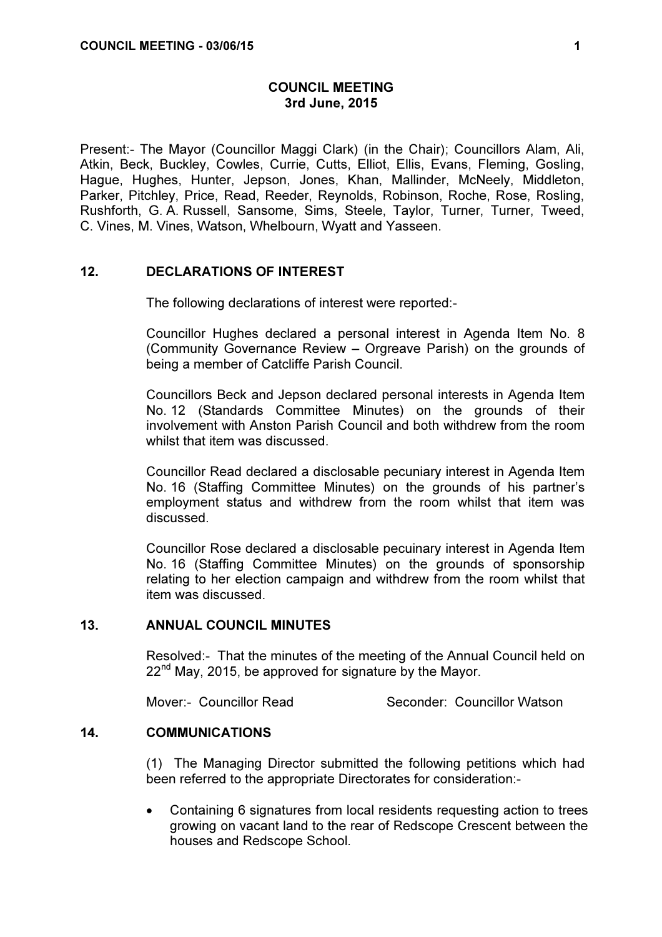# COUNCIL MEETING 3rd June, 2015

Present:- The Mayor (Councillor Maggi Clark) (in the Chair); Councillors Alam, Ali, Atkin, Beck, Buckley, Cowles, Currie, Cutts, Elliot, Ellis, Evans, Fleming, Gosling, Hague, Hughes, Hunter, Jepson, Jones, Khan, Mallinder, McNeely, Middleton, Parker, Pitchley, Price, Read, Reeder, Reynolds, Robinson, Roche, Rose, Rosling, Rushforth, G. A. Russell, Sansome, Sims, Steele, Taylor, Turner, Turner, Tweed, C. Vines, M. Vines, Watson, Whelbourn, Wyatt and Yasseen.

# 12. DECLARATIONS OF INTEREST

The following declarations of interest were reported:-

Councillor Hughes declared a personal interest in Agenda Item No. 8 (Community Governance Review – Orgreave Parish) on the grounds of being a member of Catcliffe Parish Council.

Councillors Beck and Jepson declared personal interests in Agenda Item No. 12 (Standards Committee Minutes) on the grounds of their involvement with Anston Parish Council and both withdrew from the room whilst that item was discussed.

Councillor Read declared a disclosable pecuniary interest in Agenda Item No. 16 (Staffing Committee Minutes) on the grounds of his partner's employment status and withdrew from the room whilst that item was discussed.

Councillor Rose declared a disclosable pecuinary interest in Agenda Item No. 16 (Staffing Committee Minutes) on the grounds of sponsorship relating to her election campaign and withdrew from the room whilst that item was discussed.

### 13. ANNUAL COUNCIL MINUTES

 Resolved:- That the minutes of the meeting of the Annual Council held on  $22<sup>nd</sup>$  May, 2015, be approved for signature by the Mayor.

Mover:- Councillor Read Seconder: Councillor Watson

#### 14. COMMUNICATIONS

 (1) The Managing Director submitted the following petitions which had been referred to the appropriate Directorates for consideration:-

• Containing 6 signatures from local residents requesting action to trees growing on vacant land to the rear of Redscope Crescent between the houses and Redscope School.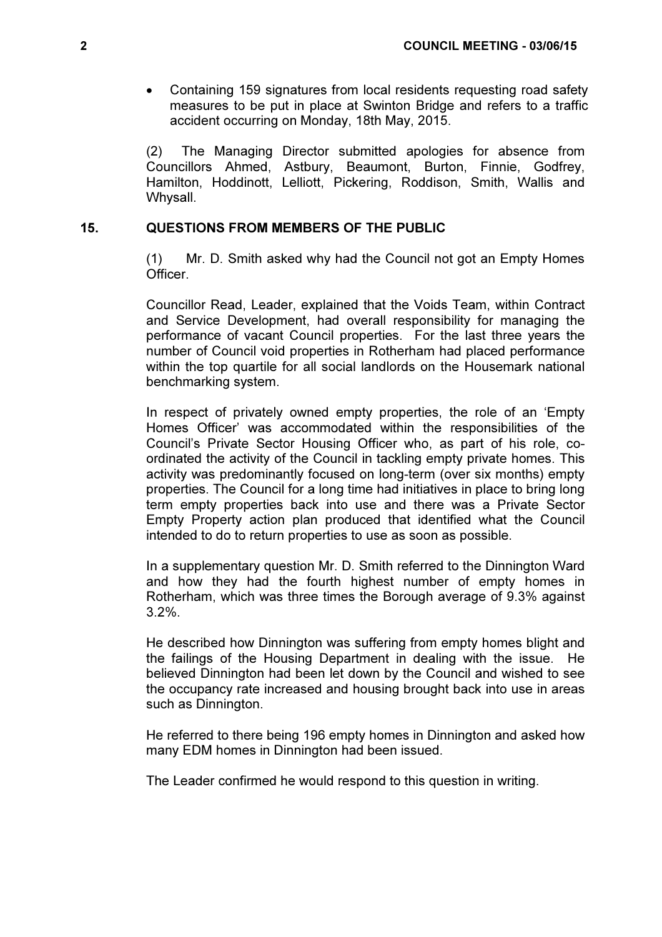• Containing 159 signatures from local residents requesting road safety measures to be put in place at Swinton Bridge and refers to a traffic accident occurring on Monday, 18th May, 2015.

(2) The Managing Director submitted apologies for absence from Councillors Ahmed, Astbury, Beaumont, Burton, Finnie, Godfrey, Hamilton, Hoddinott, Lelliott, Pickering, Roddison, Smith, Wallis and Whysall.

# 15. QUESTIONS FROM MEMBERS OF THE PUBLIC

 (1) Mr. D. Smith asked why had the Council not got an Empty Homes Officer.

Councillor Read, Leader, explained that the Voids Team, within Contract and Service Development, had overall responsibility for managing the performance of vacant Council properties. For the last three years the number of Council void properties in Rotherham had placed performance within the top quartile for all social landlords on the Housemark national benchmarking system.

In respect of privately owned empty properties, the role of an 'Empty Homes Officer' was accommodated within the responsibilities of the Council's Private Sector Housing Officer who, as part of his role, coordinated the activity of the Council in tackling empty private homes. This activity was predominantly focused on long-term (over six months) empty properties. The Council for a long time had initiatives in place to bring long term empty properties back into use and there was a Private Sector Empty Property action plan produced that identified what the Council intended to do to return properties to use as soon as possible.

In a supplementary question Mr. D. Smith referred to the Dinnington Ward and how they had the fourth highest number of empty homes in Rotherham, which was three times the Borough average of 9.3% against 3.2%.

He described how Dinnington was suffering from empty homes blight and the failings of the Housing Department in dealing with the issue. He believed Dinnington had been let down by the Council and wished to see the occupancy rate increased and housing brought back into use in areas such as Dinnington.

He referred to there being 196 empty homes in Dinnington and asked how many EDM homes in Dinnington had been issued.

The Leader confirmed he would respond to this question in writing.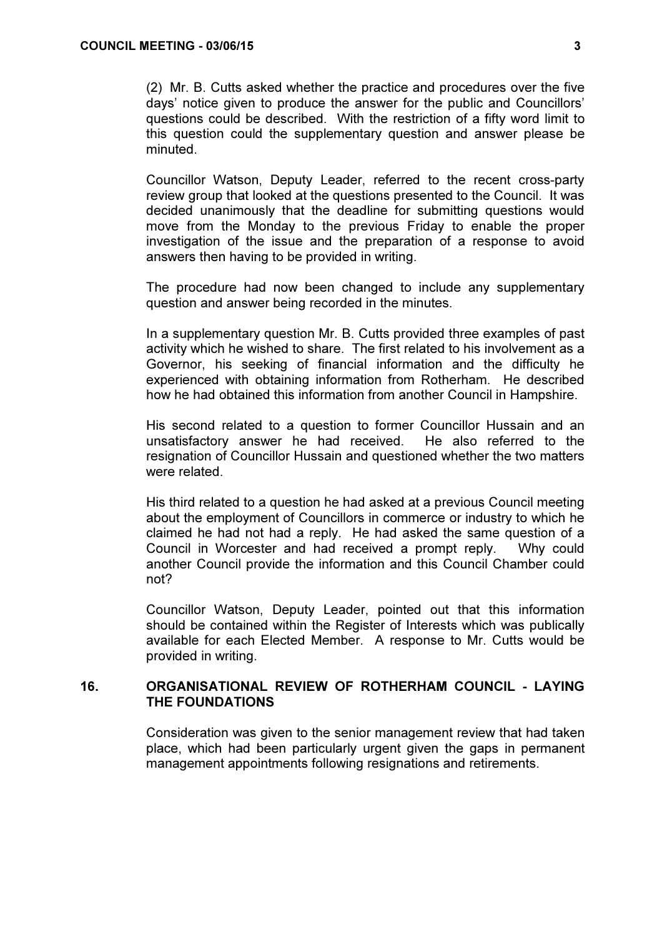(2) Mr. B. Cutts asked whether the practice and procedures over the five days' notice given to produce the answer for the public and Councillors' questions could be described. With the restriction of a fifty word limit to this question could the supplementary question and answer please be minuted.

Councillor Watson, Deputy Leader, referred to the recent cross-party review group that looked at the questions presented to the Council. It was decided unanimously that the deadline for submitting questions would move from the Monday to the previous Friday to enable the proper investigation of the issue and the preparation of a response to avoid answers then having to be provided in writing.

The procedure had now been changed to include any supplementary question and answer being recorded in the minutes.

In a supplementary question Mr. B. Cutts provided three examples of past activity which he wished to share. The first related to his involvement as a Governor, his seeking of financial information and the difficulty he experienced with obtaining information from Rotherham. He described how he had obtained this information from another Council in Hampshire.

His second related to a question to former Councillor Hussain and an unsatisfactory answer he had received. He also referred to the resignation of Councillor Hussain and questioned whether the two matters were related.

His third related to a question he had asked at a previous Council meeting about the employment of Councillors in commerce or industry to which he claimed he had not had a reply. He had asked the same question of a Council in Worcester and had received a prompt reply. Why could another Council provide the information and this Council Chamber could not?

Councillor Watson, Deputy Leader, pointed out that this information should be contained within the Register of Interests which was publically available for each Elected Member. A response to Mr. Cutts would be provided in writing.

# 16. ORGANISATIONAL REVIEW OF ROTHERHAM COUNCIL - LAYING THE FOUNDATIONS

 Consideration was given to the senior management review that had taken place, which had been particularly urgent given the gaps in permanent management appointments following resignations and retirements.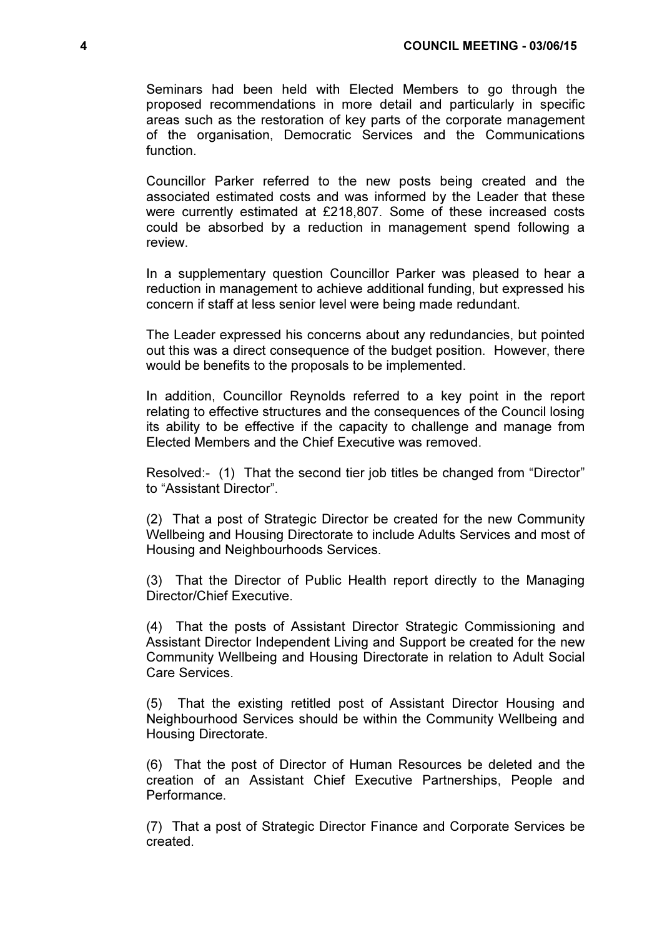Seminars had been held with Elected Members to go through the proposed recommendations in more detail and particularly in specific areas such as the restoration of key parts of the corporate management of the organisation, Democratic Services and the Communications function.

Councillor Parker referred to the new posts being created and the associated estimated costs and was informed by the Leader that these were currently estimated at £218,807. Some of these increased costs could be absorbed by a reduction in management spend following a review.

In a supplementary question Councillor Parker was pleased to hear a reduction in management to achieve additional funding, but expressed his concern if staff at less senior level were being made redundant.

The Leader expressed his concerns about any redundancies, but pointed out this was a direct consequence of the budget position. However, there would be benefits to the proposals to be implemented.

In addition, Councillor Reynolds referred to a key point in the report relating to effective structures and the consequences of the Council losing its ability to be effective if the capacity to challenge and manage from Elected Members and the Chief Executive was removed.

Resolved:- (1) That the second tier job titles be changed from "Director" to "Assistant Director".

(2) That a post of Strategic Director be created for the new Community Wellbeing and Housing Directorate to include Adults Services and most of Housing and Neighbourhoods Services.

(3) That the Director of Public Health report directly to the Managing Director/Chief Executive.

(4) That the posts of Assistant Director Strategic Commissioning and Assistant Director Independent Living and Support be created for the new Community Wellbeing and Housing Directorate in relation to Adult Social Care Services.

(5) That the existing retitled post of Assistant Director Housing and Neighbourhood Services should be within the Community Wellbeing and Housing Directorate.

(6) That the post of Director of Human Resources be deleted and the creation of an Assistant Chief Executive Partnerships, People and Performance.

(7) That a post of Strategic Director Finance and Corporate Services be created.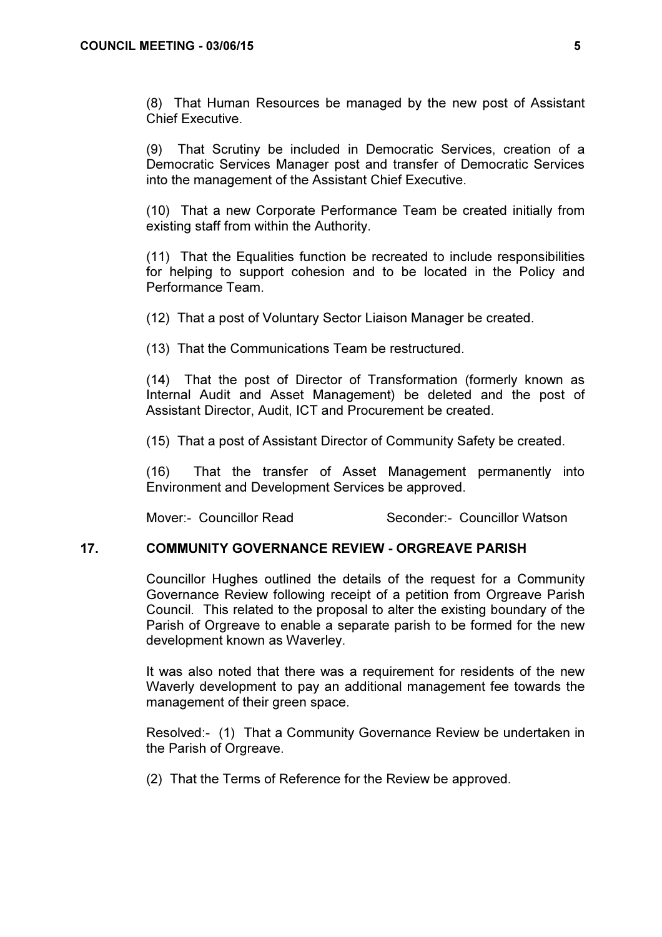(8) That Human Resources be managed by the new post of Assistant Chief Executive.

(9) That Scrutiny be included in Democratic Services, creation of a Democratic Services Manager post and transfer of Democratic Services into the management of the Assistant Chief Executive.

(10) That a new Corporate Performance Team be created initially from existing staff from within the Authority.

(11) That the Equalities function be recreated to include responsibilities for helping to support cohesion and to be located in the Policy and Performance Team.

(12) That a post of Voluntary Sector Liaison Manager be created.

(13) That the Communications Team be restructured.

(14) That the post of Director of Transformation (formerly known as Internal Audit and Asset Management) be deleted and the post of Assistant Director, Audit, ICT and Procurement be created.

(15) That a post of Assistant Director of Community Safety be created.

(16) That the transfer of Asset Management permanently into Environment and Development Services be approved.

Mover:- Councillor Read Seconder:- Councillor Watson

#### 17. COMMUNITY GOVERNANCE REVIEW - ORGREAVE PARISH

 Councillor Hughes outlined the details of the request for a Community Governance Review following receipt of a petition from Orgreave Parish Council. This related to the proposal to alter the existing boundary of the Parish of Orgreave to enable a separate parish to be formed for the new development known as Waverley.

It was also noted that there was a requirement for residents of the new Waverly development to pay an additional management fee towards the management of their green space.

Resolved:- (1) That a Community Governance Review be undertaken in the Parish of Orgreave.

(2) That the Terms of Reference for the Review be approved.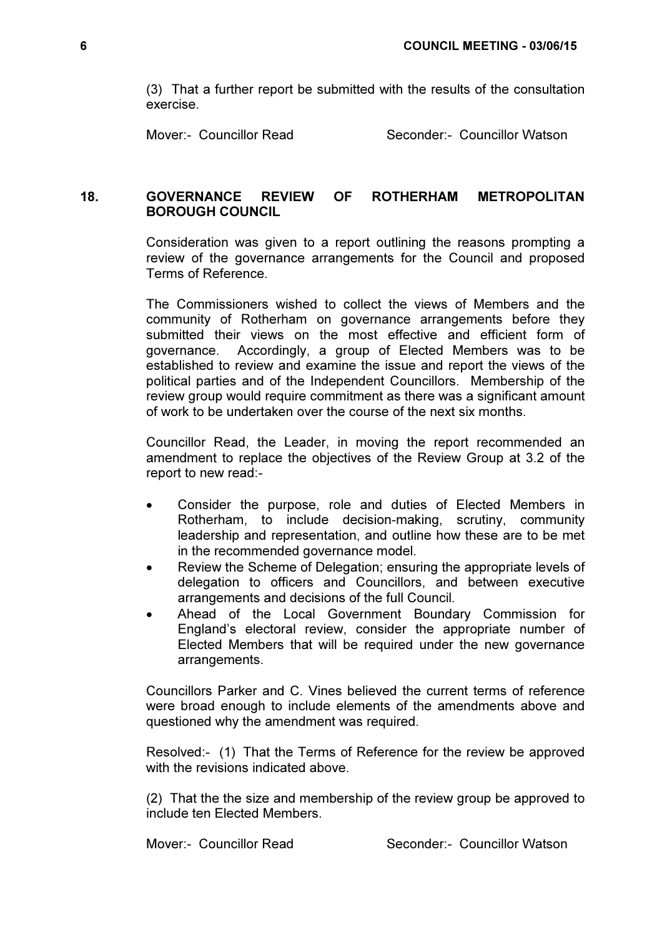(3) That a further report be submitted with the results of the consultation exercise.

Mover:- Councillor Read Seconder:- Councillor Watson

# 18. GOVERNANCE REVIEW OF ROTHERHAM METROPOLITAN BOROUGH COUNCIL

 Consideration was given to a report outlining the reasons prompting a review of the governance arrangements for the Council and proposed Terms of Reference.

The Commissioners wished to collect the views of Members and the community of Rotherham on governance arrangements before they submitted their views on the most effective and efficient form of governance. Accordingly, a group of Elected Members was to be established to review and examine the issue and report the views of the political parties and of the Independent Councillors. Membership of the review group would require commitment as there was a significant amount of work to be undertaken over the course of the next six months.

Councillor Read, the Leader, in moving the report recommended an amendment to replace the objectives of the Review Group at 3.2 of the report to new read:-

- Consider the purpose, role and duties of Elected Members in Rotherham, to include decision-making, scrutiny, community leadership and representation, and outline how these are to be met in the recommended governance model.
- Review the Scheme of Delegation; ensuring the appropriate levels of delegation to officers and Councillors, and between executive arrangements and decisions of the full Council.
- Ahead of the Local Government Boundary Commission for England's electoral review, consider the appropriate number of Elected Members that will be required under the new governance arrangements.

Councillors Parker and C. Vines believed the current terms of reference were broad enough to include elements of the amendments above and questioned why the amendment was required.

Resolved:- (1) That the Terms of Reference for the review be approved with the revisions indicated above.

(2) That the the size and membership of the review group be approved to include ten Elected Members.

Mover:- Councillor Read Seconder:- Councillor Watson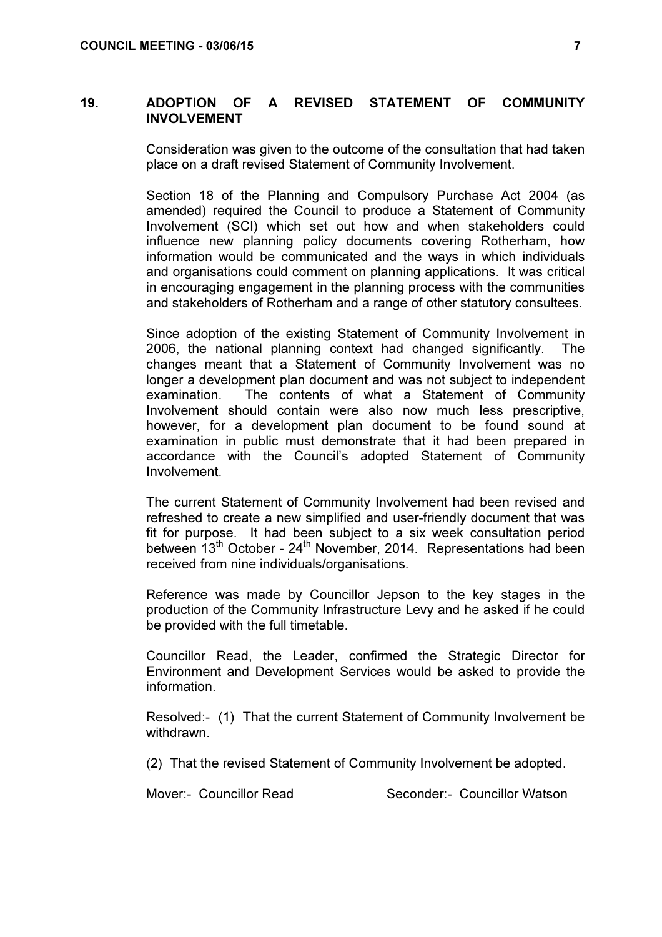# 19. ADOPTION OF A REVISED STATEMENT OF COMMUNITY INVOLVEMENT

 Consideration was given to the outcome of the consultation that had taken place on a draft revised Statement of Community Involvement.

Section 18 of the Planning and Compulsory Purchase Act 2004 (as amended) required the Council to produce a Statement of Community Involvement (SCI) which set out how and when stakeholders could influence new planning policy documents covering Rotherham, how information would be communicated and the ways in which individuals and organisations could comment on planning applications. It was critical in encouraging engagement in the planning process with the communities and stakeholders of Rotherham and a range of other statutory consultees.

Since adoption of the existing Statement of Community Involvement in 2006, the national planning context had changed significantly. The changes meant that a Statement of Community Involvement was no longer a development plan document and was not subject to independent examination. The contents of what a Statement of Community Involvement should contain were also now much less prescriptive, however, for a development plan document to be found sound at examination in public must demonstrate that it had been prepared in accordance with the Council's adopted Statement of Community Involvement.

The current Statement of Community Involvement had been revised and refreshed to create a new simplified and user-friendly document that was fit for purpose. It had been subject to a six week consultation period between  $13<sup>th</sup>$  October -  $24<sup>th</sup>$  November, 2014. Representations had been received from nine individuals/organisations.

Reference was made by Councillor Jepson to the key stages in the production of the Community Infrastructure Levy and he asked if he could be provided with the full timetable.

Councillor Read, the Leader, confirmed the Strategic Director for Environment and Development Services would be asked to provide the information.

Resolved:- (1) That the current Statement of Community Involvement be withdrawn.

(2) That the revised Statement of Community Involvement be adopted.

Mover:- Councillor Read Seconder:- Councillor Watson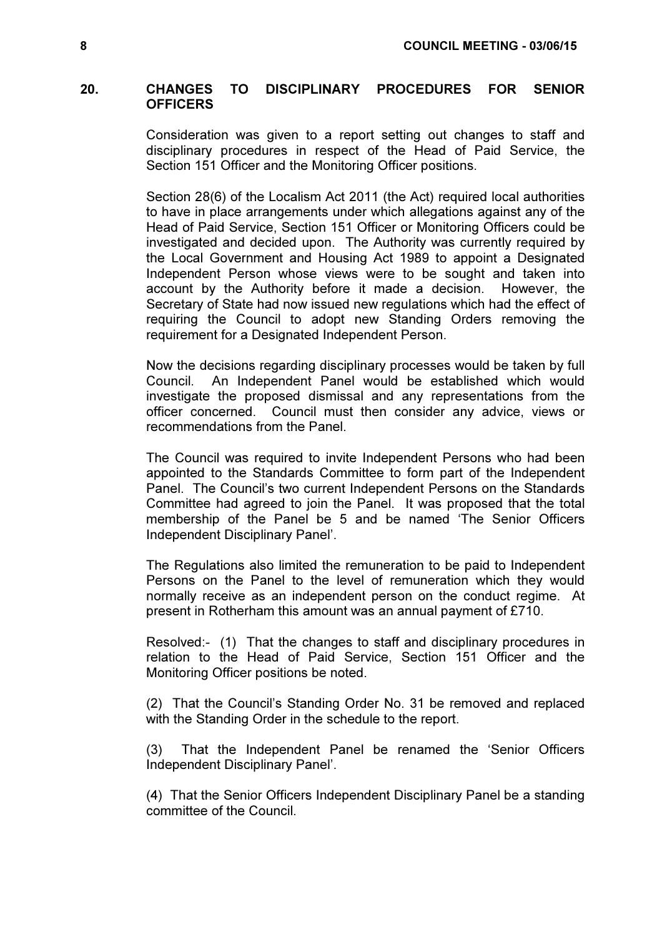# 20. CHANGES TO DISCIPLINARY PROCEDURES FOR SENIOR **OFFICERS**

 Consideration was given to a report setting out changes to staff and disciplinary procedures in respect of the Head of Paid Service, the Section 151 Officer and the Monitoring Officer positions.

Section 28(6) of the Localism Act 2011 (the Act) required local authorities to have in place arrangements under which allegations against any of the Head of Paid Service, Section 151 Officer or Monitoring Officers could be investigated and decided upon. The Authority was currently required by the Local Government and Housing Act 1989 to appoint a Designated Independent Person whose views were to be sought and taken into account by the Authority before it made a decision. However, the Secretary of State had now issued new regulations which had the effect of requiring the Council to adopt new Standing Orders removing the requirement for a Designated Independent Person.

Now the decisions regarding disciplinary processes would be taken by full Council. An Independent Panel would be established which would investigate the proposed dismissal and any representations from the officer concerned. Council must then consider any advice, views or recommendations from the Panel.

The Council was required to invite Independent Persons who had been appointed to the Standards Committee to form part of the Independent Panel. The Council's two current Independent Persons on the Standards Committee had agreed to join the Panel. It was proposed that the total membership of the Panel be 5 and be named 'The Senior Officers Independent Disciplinary Panel'.

The Regulations also limited the remuneration to be paid to Independent Persons on the Panel to the level of remuneration which they would normally receive as an independent person on the conduct regime. At present in Rotherham this amount was an annual payment of £710.

Resolved:- (1) That the changes to staff and disciplinary procedures in relation to the Head of Paid Service, Section 151 Officer and the Monitoring Officer positions be noted.

(2) That the Council's Standing Order No. 31 be removed and replaced with the Standing Order in the schedule to the report.

(3) That the Independent Panel be renamed the 'Senior Officers Independent Disciplinary Panel'.

(4) That the Senior Officers Independent Disciplinary Panel be a standing committee of the Council.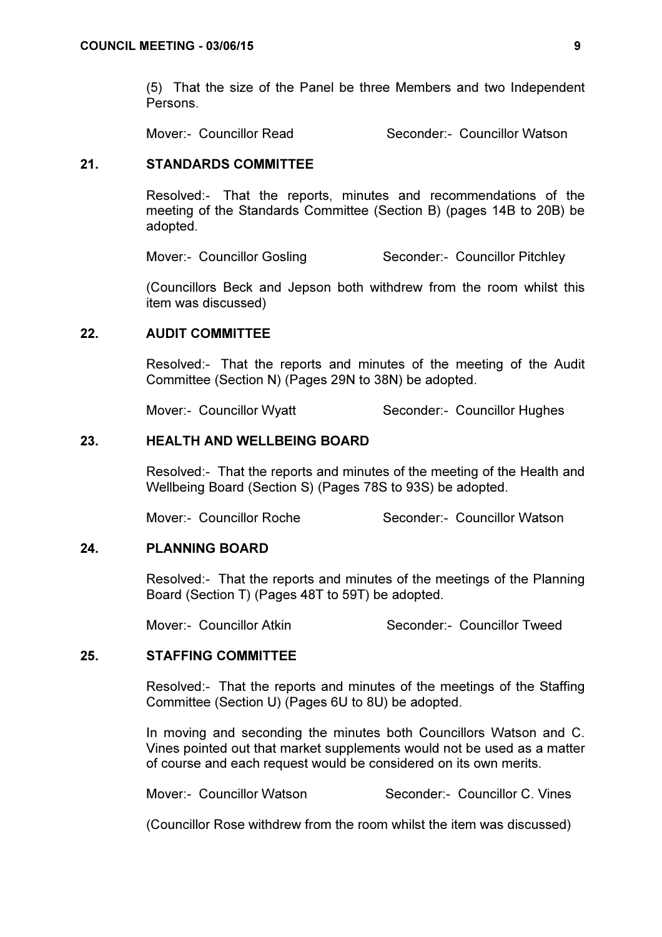(5) That the size of the Panel be three Members and two Independent Persons.

Mover:- Councillor Read Seconder:- Councillor Watson

# 21. STANDARDS COMMITTEE

 Resolved:- That the reports, minutes and recommendations of the meeting of the Standards Committee (Section B) (pages 14B to 20B) be adopted.

Mover:- Councillor Gosling Seconder:- Councillor Pitchley

(Councillors Beck and Jepson both withdrew from the room whilst this item was discussed)

# 22. AUDIT COMMITTEE

 Resolved:- That the reports and minutes of the meeting of the Audit Committee (Section N) (Pages 29N to 38N) be adopted.

Mover:- Councillor Wyatt Seconder:- Councillor Hughes

# 23. HEALTH AND WELLBEING BOARD

 Resolved:- That the reports and minutes of the meeting of the Health and Wellbeing Board (Section S) (Pages 78S to 93S) be adopted.

Mover:- Councillor Roche Seconder:- Councillor Watson

# 24. PLANNING BOARD

 Resolved:- That the reports and minutes of the meetings of the Planning Board (Section T) (Pages 48T to 59T) be adopted.

Mover:- Councillor Atkin Seconder:- Councillor Tweed

# 25. STAFFING COMMITTEE

 Resolved:- That the reports and minutes of the meetings of the Staffing Committee (Section U) (Pages 6U to 8U) be adopted.

In moving and seconding the minutes both Councillors Watson and C. Vines pointed out that market supplements would not be used as a matter of course and each request would be considered on its own merits.

Mover:- Councillor Watson Seconder:- Councillor C. Vines

(Councillor Rose withdrew from the room whilst the item was discussed)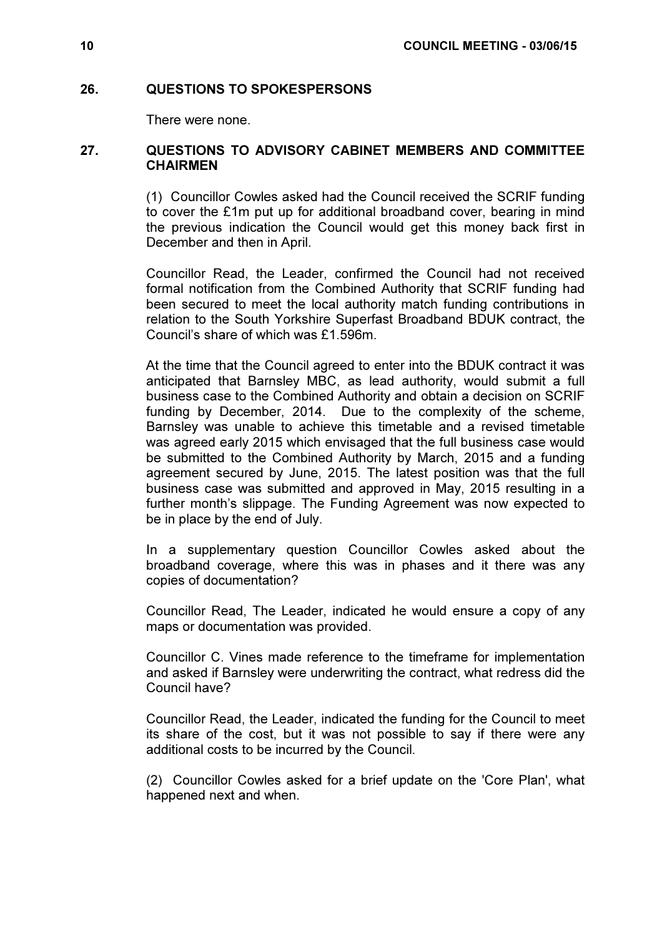# 26. QUESTIONS TO SPOKESPERSONS

There were none.

# 27. QUESTIONS TO ADVISORY CABINET MEMBERS AND COMMITTEE **CHAIRMEN**

 (1) Councillor Cowles asked had the Council received the SCRIF funding to cover the £1m put up for additional broadband cover, bearing in mind the previous indication the Council would get this money back first in December and then in April.

Councillor Read, the Leader, confirmed the Council had not received formal notification from the Combined Authority that SCRIF funding had been secured to meet the local authority match funding contributions in relation to the South Yorkshire Superfast Broadband BDUK contract, the Council's share of which was £1.596m.

At the time that the Council agreed to enter into the BDUK contract it was anticipated that Barnsley MBC, as lead authority, would submit a full business case to the Combined Authority and obtain a decision on SCRIF funding by December, 2014. Due to the complexity of the scheme, Barnsley was unable to achieve this timetable and a revised timetable was agreed early 2015 which envisaged that the full business case would be submitted to the Combined Authority by March, 2015 and a funding agreement secured by June, 2015. The latest position was that the full business case was submitted and approved in May, 2015 resulting in a further month's slippage. The Funding Agreement was now expected to be in place by the end of July.

In a supplementary question Councillor Cowles asked about the broadband coverage, where this was in phases and it there was any copies of documentation?

Councillor Read, The Leader, indicated he would ensure a copy of any maps or documentation was provided.

Councillor C. Vines made reference to the timeframe for implementation and asked if Barnsley were underwriting the contract, what redress did the Council have?

Councillor Read, the Leader, indicated the funding for the Council to meet its share of the cost, but it was not possible to say if there were any additional costs to be incurred by the Council.

(2) Councillor Cowles asked for a brief update on the 'Core Plan', what happened next and when.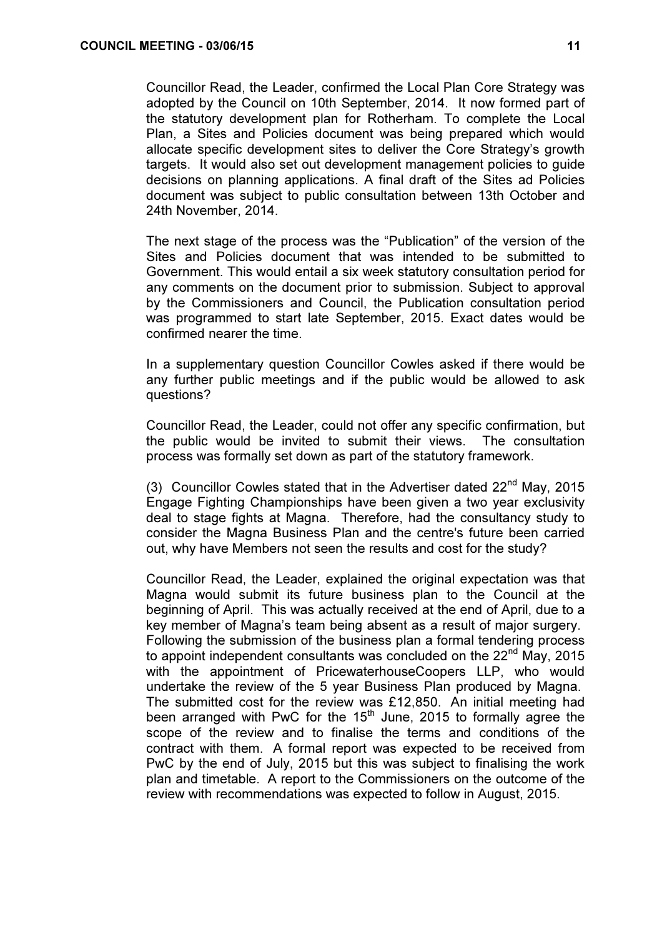Councillor Read, the Leader, confirmed the Local Plan Core Strategy was adopted by the Council on 10th September, 2014. It now formed part of the statutory development plan for Rotherham. To complete the Local Plan, a Sites and Policies document was being prepared which would allocate specific development sites to deliver the Core Strategy's growth targets. It would also set out development management policies to guide decisions on planning applications. A final draft of the Sites ad Policies document was subject to public consultation between 13th October and 24th November, 2014.

The next stage of the process was the "Publication" of the version of the Sites and Policies document that was intended to be submitted to Government. This would entail a six week statutory consultation period for any comments on the document prior to submission. Subject to approval by the Commissioners and Council, the Publication consultation period was programmed to start late September, 2015. Exact dates would be confirmed nearer the time.

In a supplementary question Councillor Cowles asked if there would be any further public meetings and if the public would be allowed to ask questions?

Councillor Read, the Leader, could not offer any specific confirmation, but the public would be invited to submit their views. The consultation process was formally set down as part of the statutory framework.

(3) Councillor Cowles stated that in the Advertiser dated 22<sup>nd</sup> Mav. 2015 Engage Fighting Championships have been given a two year exclusivity deal to stage fights at Magna. Therefore, had the consultancy study to consider the Magna Business Plan and the centre's future been carried out, why have Members not seen the results and cost for the study?

Councillor Read, the Leader, explained the original expectation was that Magna would submit its future business plan to the Council at the beginning of April. This was actually received at the end of April, due to a key member of Magna's team being absent as a result of major surgery. Following the submission of the business plan a formal tendering process to appoint independent consultants was concluded on the  $22<sup>nd</sup>$  May, 2015 with the appointment of PricewaterhouseCoopers LLP, who would undertake the review of the 5 year Business Plan produced by Magna. The submitted cost for the review was £12,850. An initial meeting had been arranged with PwC for the  $15<sup>th</sup>$  June, 2015 to formally agree the scope of the review and to finalise the terms and conditions of the contract with them. A formal report was expected to be received from PwC by the end of July, 2015 but this was subject to finalising the work plan and timetable. A report to the Commissioners on the outcome of the review with recommendations was expected to follow in August, 2015.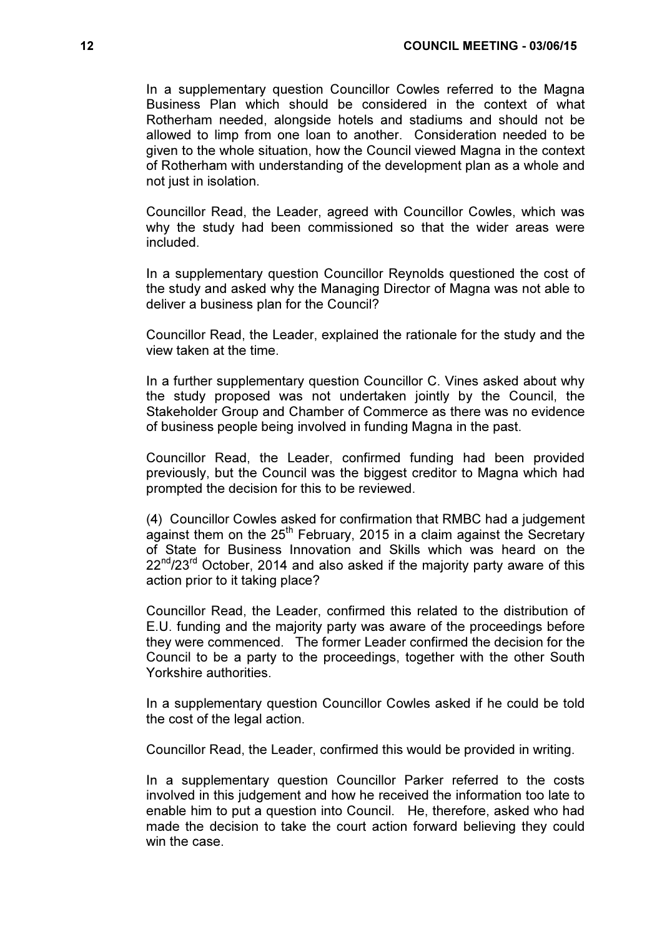In a supplementary question Councillor Cowles referred to the Magna Business Plan which should be considered in the context of what Rotherham needed, alongside hotels and stadiums and should not be allowed to limp from one loan to another. Consideration needed to be given to the whole situation, how the Council viewed Magna in the context of Rotherham with understanding of the development plan as a whole and not just in isolation.

Councillor Read, the Leader, agreed with Councillor Cowles, which was why the study had been commissioned so that the wider areas were included.

In a supplementary question Councillor Reynolds questioned the cost of the study and asked why the Managing Director of Magna was not able to deliver a business plan for the Council?

Councillor Read, the Leader, explained the rationale for the study and the view taken at the time.

In a further supplementary question Councillor C. Vines asked about why the study proposed was not undertaken jointly by the Council, the Stakeholder Group and Chamber of Commerce as there was no evidence of business people being involved in funding Magna in the past.

Councillor Read, the Leader, confirmed funding had been provided previously, but the Council was the biggest creditor to Magna which had prompted the decision for this to be reviewed.

(4) Councillor Cowles asked for confirmation that RMBC had a judgement  $\alpha$  against them on the 25<sup>th</sup> February, 2015 in a claim against the Secretary of State for Business Innovation and Skills which was heard on the  $22^{nd}/23^{rd}$  October, 2014 and also asked if the majority party aware of this action prior to it taking place?

Councillor Read, the Leader, confirmed this related to the distribution of E.U. funding and the majority party was aware of the proceedings before they were commenced. The former Leader confirmed the decision for the Council to be a party to the proceedings, together with the other South Yorkshire authorities.

In a supplementary question Councillor Cowles asked if he could be told the cost of the legal action.

Councillor Read, the Leader, confirmed this would be provided in writing.

In a supplementary question Councillor Parker referred to the costs involved in this judgement and how he received the information too late to enable him to put a question into Council. He, therefore, asked who had made the decision to take the court action forward believing they could win the case.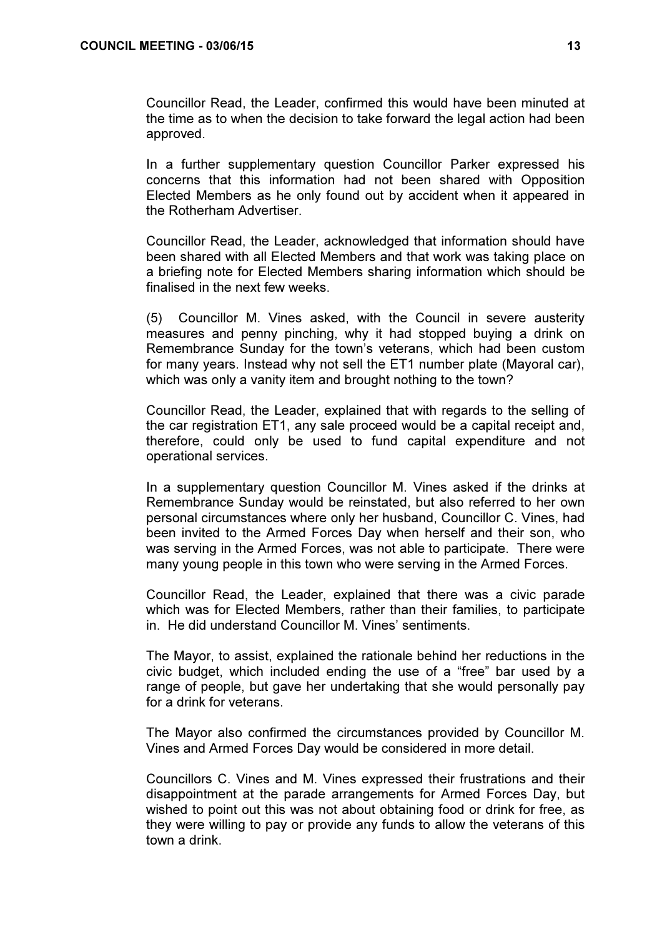Councillor Read, the Leader, confirmed this would have been minuted at the time as to when the decision to take forward the legal action had been approved.

In a further supplementary question Councillor Parker expressed his concerns that this information had not been shared with Opposition Elected Members as he only found out by accident when it appeared in the Rotherham Advertiser.

Councillor Read, the Leader, acknowledged that information should have been shared with all Elected Members and that work was taking place on a briefing note for Elected Members sharing information which should be finalised in the next few weeks.

(5) Councillor M. Vines asked, with the Council in severe austerity measures and penny pinching, why it had stopped buying a drink on Remembrance Sunday for the town's veterans, which had been custom for many years. Instead why not sell the ET1 number plate (Mayoral car), which was only a vanity item and brought nothing to the town?

Councillor Read, the Leader, explained that with regards to the selling of the car registration ET1, any sale proceed would be a capital receipt and, therefore, could only be used to fund capital expenditure and not operational services.

In a supplementary question Councillor M. Vines asked if the drinks at Remembrance Sunday would be reinstated, but also referred to her own personal circumstances where only her husband, Councillor C. Vines, had been invited to the Armed Forces Day when herself and their son, who was serving in the Armed Forces, was not able to participate. There were many young people in this town who were serving in the Armed Forces.

Councillor Read, the Leader, explained that there was a civic parade which was for Elected Members, rather than their families, to participate in. He did understand Councillor M. Vines' sentiments.

The Mayor, to assist, explained the rationale behind her reductions in the civic budget, which included ending the use of a "free" bar used by a range of people, but gave her undertaking that she would personally pay for a drink for veterans.

The Mayor also confirmed the circumstances provided by Councillor M. Vines and Armed Forces Day would be considered in more detail.

Councillors C. Vines and M. Vines expressed their frustrations and their disappointment at the parade arrangements for Armed Forces Day, but wished to point out this was not about obtaining food or drink for free, as they were willing to pay or provide any funds to allow the veterans of this town a drink.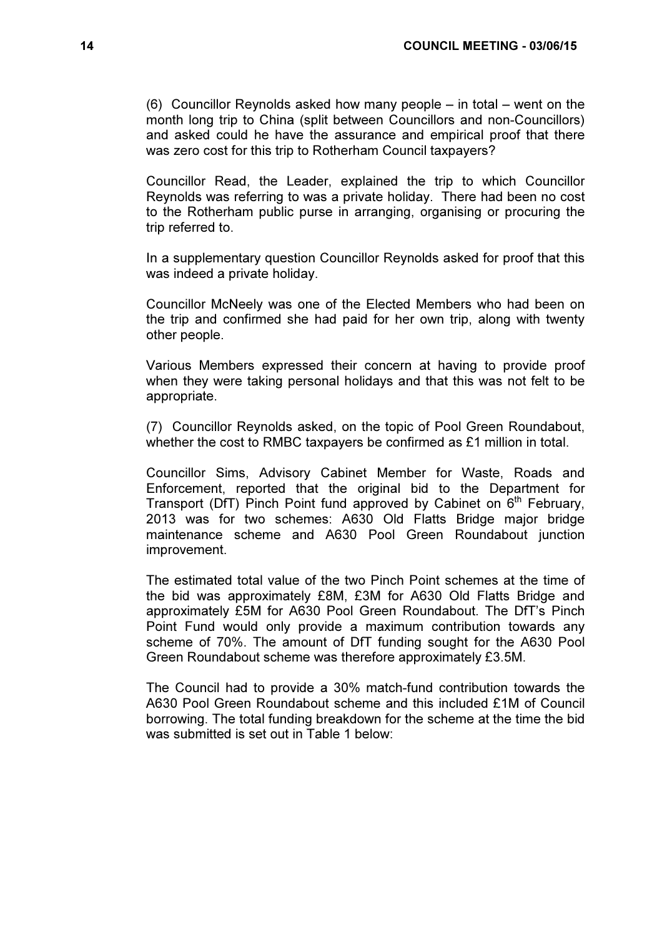(6) Councillor Reynolds asked how many people – in total – went on the month long trip to China (split between Councillors and non-Councillors) and asked could he have the assurance and empirical proof that there was zero cost for this trip to Rotherham Council taxpayers?

Councillor Read, the Leader, explained the trip to which Councillor Reynolds was referring to was a private holiday. There had been no cost to the Rotherham public purse in arranging, organising or procuring the trip referred to.

In a supplementary question Councillor Reynolds asked for proof that this was indeed a private holiday.

Councillor McNeely was one of the Elected Members who had been on the trip and confirmed she had paid for her own trip, along with twenty other people.

Various Members expressed their concern at having to provide proof when they were taking personal holidays and that this was not felt to be appropriate.

(7) Councillor Reynolds asked, on the topic of Pool Green Roundabout, whether the cost to RMBC taxpayers be confirmed as £1 million in total.

Councillor Sims, Advisory Cabinet Member for Waste, Roads and Enforcement, reported that the original bid to the Department for Transport (DfT) Pinch Point fund approved by Cabinet on  $6<sup>th</sup>$  February, 2013 was for two schemes: A630 Old Flatts Bridge major bridge maintenance scheme and A630 Pool Green Roundabout junction improvement.

The estimated total value of the two Pinch Point schemes at the time of the bid was approximately £8M, £3M for A630 Old Flatts Bridge and approximately £5M for A630 Pool Green Roundabout. The DfT's Pinch Point Fund would only provide a maximum contribution towards any scheme of 70%. The amount of DfT funding sought for the A630 Pool Green Roundabout scheme was therefore approximately £3.5M.

The Council had to provide a 30% match-fund contribution towards the A630 Pool Green Roundabout scheme and this included £1M of Council borrowing. The total funding breakdown for the scheme at the time the bid was submitted is set out in Table 1 below: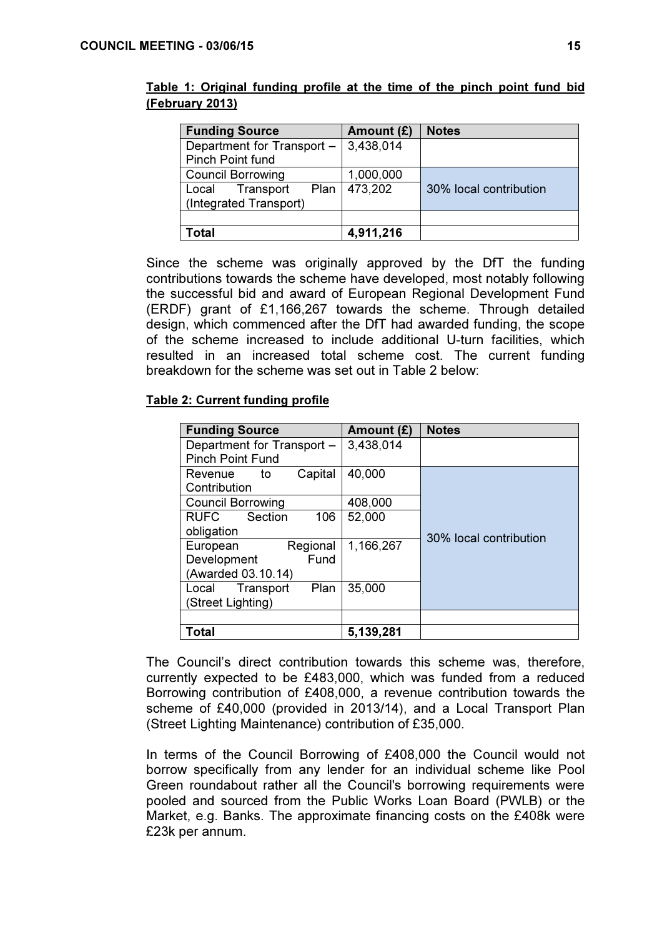| <b>Funding Source</b>      | Amount $(E)$   | <b>Notes</b>           |
|----------------------------|----------------|------------------------|
| Department for Transport - | 3,438,014      |                        |
| <b>Pinch Point fund</b>    |                |                        |
| <b>Council Borrowing</b>   | 1,000,000      |                        |
| Local Transport            | Plan   473,202 | 30% local contribution |
| (Integrated Transport)     |                |                        |
|                            |                |                        |
| ⊺otal                      | 4,911,216      |                        |

Table 1: Original funding profile at the time of the pinch point fund bid (February 2013)

Since the scheme was originally approved by the DfT the funding contributions towards the scheme have developed, most notably following the successful bid and award of European Regional Development Fund (ERDF) grant of £1,166,267 towards the scheme. Through detailed design, which commenced after the DfT had awarded funding, the scope of the scheme increased to include additional U-turn facilities, which resulted in an increased total scheme cost. The current funding breakdown for the scheme was set out in Table 2 below:

# Table 2: Current funding profile

| <b>Funding Source</b>         | Amount (£) | <b>Notes</b>           |
|-------------------------------|------------|------------------------|
| Department for Transport -    | 3,438,014  |                        |
| <b>Pinch Point Fund</b>       |            |                        |
| Capital<br>Revenue<br>to      | 40,000     |                        |
| Contribution                  |            |                        |
| <b>Council Borrowing</b>      | 408,000    |                        |
| Section<br>106<br><b>RUFC</b> | 52,000     |                        |
| obligation                    |            | 30% local contribution |
| Regional<br>European          | 1,166,267  |                        |
| Fund<br>Development           |            |                        |
| (Awarded 03.10.14)            |            |                        |
| Plan<br>Transport<br>Local    | 35,000     |                        |
| (Street Lighting)             |            |                        |
|                               |            |                        |
| Total                         | 5,139,281  |                        |

The Council's direct contribution towards this scheme was, therefore, currently expected to be £483,000, which was funded from a reduced Borrowing contribution of £408,000, a revenue contribution towards the scheme of £40,000 (provided in 2013/14), and a Local Transport Plan (Street Lighting Maintenance) contribution of £35,000.

In terms of the Council Borrowing of £408,000 the Council would not borrow specifically from any lender for an individual scheme like Pool Green roundabout rather all the Council's borrowing requirements were pooled and sourced from the Public Works Loan Board (PWLB) or the Market, e.g. Banks. The approximate financing costs on the £408k were £23k per annum.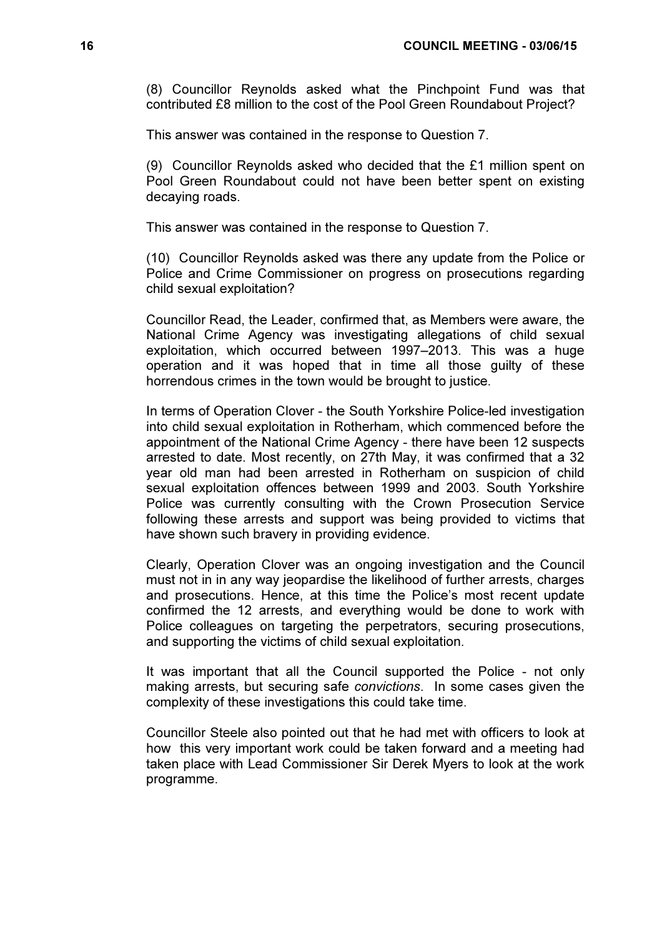(8) Councillor Reynolds asked what the Pinchpoint Fund was that contributed £8 million to the cost of the Pool Green Roundabout Project?

This answer was contained in the response to Question 7.

(9) Councillor Reynolds asked who decided that the £1 million spent on Pool Green Roundabout could not have been better spent on existing decaying roads.

This answer was contained in the response to Question 7.

(10) Councillor Reynolds asked was there any update from the Police or Police and Crime Commissioner on progress on prosecutions regarding child sexual exploitation?

Councillor Read, the Leader, confirmed that, as Members were aware, the National Crime Agency was investigating allegations of child sexual exploitation, which occurred between 1997–2013. This was a huge operation and it was hoped that in time all those guilty of these horrendous crimes in the town would be brought to justice.

In terms of Operation Clover - the South Yorkshire Police-led investigation into child sexual exploitation in Rotherham, which commenced before the appointment of the National Crime Agency - there have been 12 suspects arrested to date. Most recently, on 27th May, it was confirmed that a 32 year old man had been arrested in Rotherham on suspicion of child sexual exploitation offences between 1999 and 2003. South Yorkshire Police was currently consulting with the Crown Prosecution Service following these arrests and support was being provided to victims that have shown such bravery in providing evidence.

Clearly, Operation Clover was an ongoing investigation and the Council must not in in any way jeopardise the likelihood of further arrests, charges and prosecutions. Hence, at this time the Police's most recent update confirmed the 12 arrests, and everything would be done to work with Police colleagues on targeting the perpetrators, securing prosecutions, and supporting the victims of child sexual exploitation.

It was important that all the Council supported the Police - not only making arrests, but securing safe convictions. In some cases given the complexity of these investigations this could take time.

Councillor Steele also pointed out that he had met with officers to look at how this very important work could be taken forward and a meeting had taken place with Lead Commissioner Sir Derek Myers to look at the work programme.